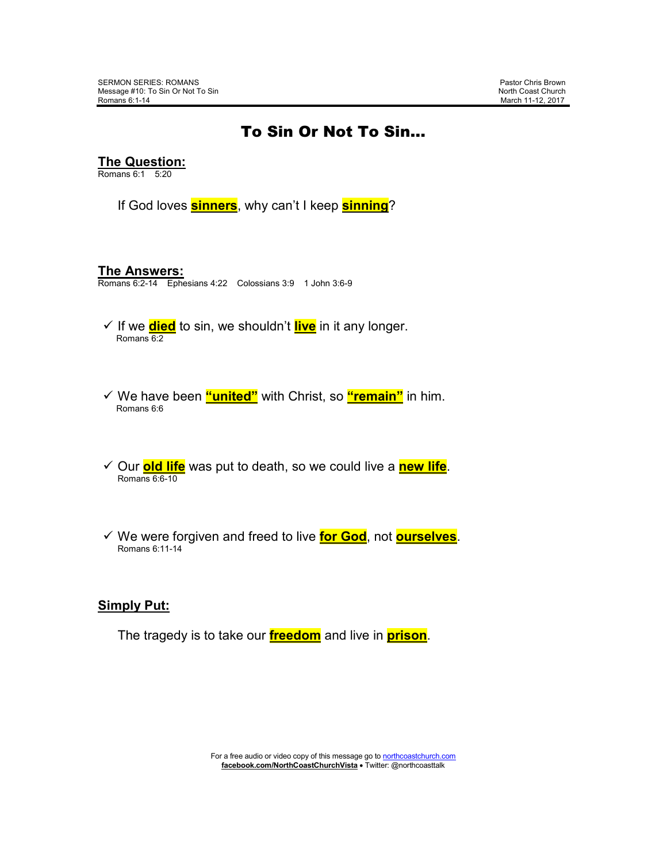## To Sin Or Not To Sin…

**The Question:**

Romans 6:1 5:20

If God loves **sinners**, why can't I keep **sinning**?

#### **The Answers:**

Romans 6:2-14 Ephesians 4:22 Colossians 3:9 1 John 3:6-9

- If we **died** to sin, we shouldn't **live** in it any longer. Romans 6:2
- We have been **"united"** with Christ, so **"remain"** in him. Romans 6:6
- Our **old life** was put to death, so we could live a **new life**. Romans 6:6-10
- We were forgiven and freed to live **for God**, not **ourselves**. Romans 6:11-14

## **Simply Put:**

The tragedy is to take our **freedom** and live in **prison**.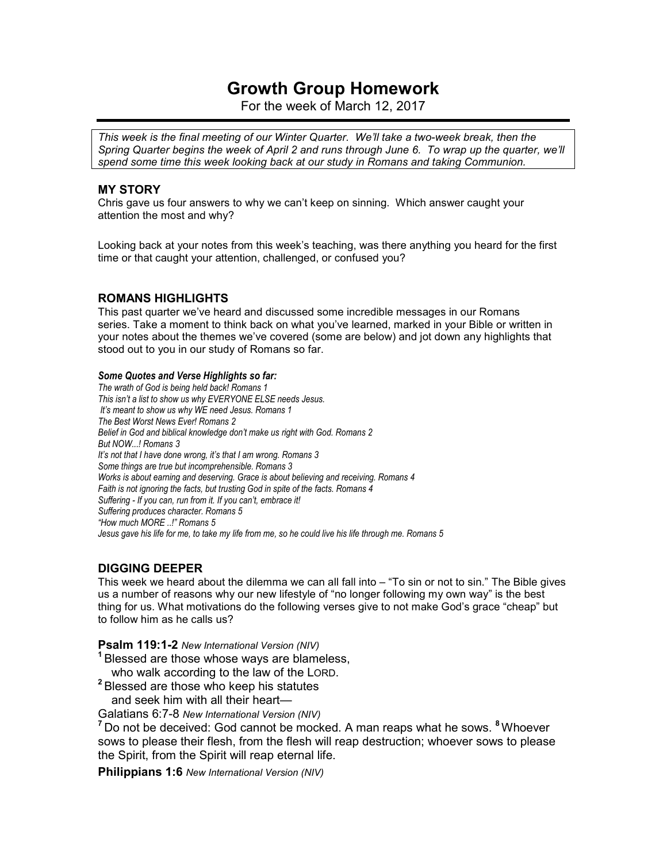# **Growth Group Homework**

For the week of March 12, 2017

*This week is the final meeting of our Winter Quarter. We'll take a two-week break, then the Spring Quarter begins the week of April 2 and runs through June 6. To wrap up the quarter, we'll spend some time this week looking back at our study in Romans and taking Communion.* 

## **MY STORY**

Chris gave us four answers to why we can't keep on sinning. Which answer caught your attention the most and why?

Looking back at your notes from this week's teaching, was there anything you heard for the first time or that caught your attention, challenged, or confused you?

## **ROMANS HIGHLIGHTS**

This past quarter we've heard and discussed some incredible messages in our Romans series. Take a moment to think back on what you've learned, marked in your Bible or written in your notes about the themes we've covered (some are below) and jot down any highlights that stood out to you in our study of Romans so far.

#### *Some Quotes and Verse Highlights so far:*

*The wrath of God is being held back! Romans 1 This isn't a list to show us why EVERYONE ELSE needs Jesus. It's meant to show us why WE need Jesus. Romans 1 The Best Worst News Ever! Romans 2 Belief in God and biblical knowledge don't make us right with God. Romans 2 But NOW...! Romans 3 It's not that I have done wrong, it's that I am wrong. Romans 3 Some things are true but incomprehensible. Romans 3 Works is about earning and deserving. Grace is about believing and receiving. Romans 4 Faith is not ignoring the facts, but trusting God in spite of the facts. Romans 4 Suffering - If you can, run from it. If you can't, embrace it! Suffering produces character. Romans 5 "How much MORE ..!" Romans 5 Jesus gave his life for me, to take my life from me, so he could live his life through me. Romans 5* 

## **DIGGING DEEPER**

This week we heard about the dilemma we can all fall into – "To sin or not to sin." The Bible gives us a number of reasons why our new lifestyle of "no longer following my own way" is the best thing for us. What motivations do the following verses give to not make God's grace "cheap" but to follow him as he calls us?

#### **Psalm 119:1-2** *New International Version (NIV)*

**<sup>1</sup>**Blessed are those whose ways are blameless,

who walk according to the law of the LORD.

**<sup>2</sup>**Blessed are those who keep his statutes and seek him with all their heart—

Galatians 6:7-8 *New International Version (NIV)* 

**<sup>7</sup>**Do not be deceived: God cannot be mocked. A man reaps what he sows. **<sup>8</sup>**Whoever sows to please their flesh, from the flesh will reap destruction; whoever sows to please the Spirit, from the Spirit will reap eternal life.

**Philippians 1:6** *New International Version (NIV)*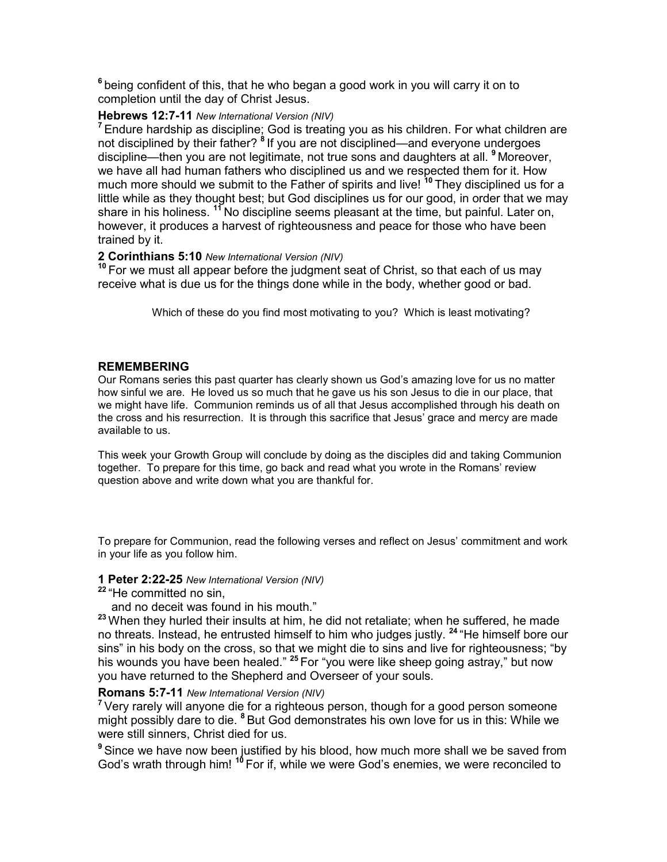**<sup>6</sup>**being confident of this, that he who began a good work in you will carry it on to completion until the day of Christ Jesus.

## **Hebrews 12:7-11** *New International Version (NIV)*

**<sup>7</sup>**Endure hardship as discipline; God is treating you as his children. For what children are not disciplined by their father? **<sup>8</sup>**If you are not disciplined—and everyone undergoes discipline—then you are not legitimate, not true sons and daughters at all. **<sup>9</sup>**Moreover, we have all had human fathers who disciplined us and we respected them for it. How much more should we submit to the Father of spirits and live! **<sup>10</sup>**They disciplined us for a little while as they thought best; but God disciplines us for our good, in order that we may share in his holiness. <sup>11</sup>No discipline seems pleasant at the time, but painful. Later on, however, it produces a harvest of righteousness and peace for those who have been trained by it.

## **2 Corinthians 5:10** *New International Version (NIV)*

**<sup>10</sup>**For we must all appear before the judgment seat of Christ, so that each of us may receive what is due us for the things done while in the body, whether good or bad.

Which of these do you find most motivating to you? Which is least motivating?

## **REMEMBERING**

Our Romans series this past quarter has clearly shown us God's amazing love for us no matter how sinful we are. He loved us so much that he gave us his son Jesus to die in our place, that we might have life. Communion reminds us of all that Jesus accomplished through his death on the cross and his resurrection. It is through this sacrifice that Jesus' grace and mercy are made available to us.

This week your Growth Group will conclude by doing as the disciples did and taking Communion together. To prepare for this time, go back and read what you wrote in the Romans' review question above and write down what you are thankful for.

To prepare for Communion, read the following verses and reflect on Jesus' commitment and work in your life as you follow him.

## **1 Peter 2:22-25** *New International Version (NIV)*

**<sup>22</sup>**"He committed no sin,

and no deceit was found in his mouth."

**<sup>23</sup>**When they hurled their insults at him, he did not retaliate; when he suffered, he made no threats. Instead, he entrusted himself to him who judges justly. **<sup>24</sup>**"He himself bore our sins" in his body on the cross, so that we might die to sins and live for righteousness; "by his wounds you have been healed." **<sup>25</sup>**For "you were like sheep going astray," but now you have returned to the Shepherd and Overseer of your souls.

## **Romans 5:7-11** *New International Version (NIV)*

**<sup>7</sup>**Very rarely will anyone die for a righteous person, though for a good person someone might possibly dare to die. **<sup>8</sup>**But God demonstrates his own love for us in this: While we were still sinners, Christ died for us.

**<sup>9</sup>**Since we have now been justified by his blood, how much more shall we be saved from God's wrath through him! **<sup>10</sup>**For if, while we were God's enemies, we were reconciled to